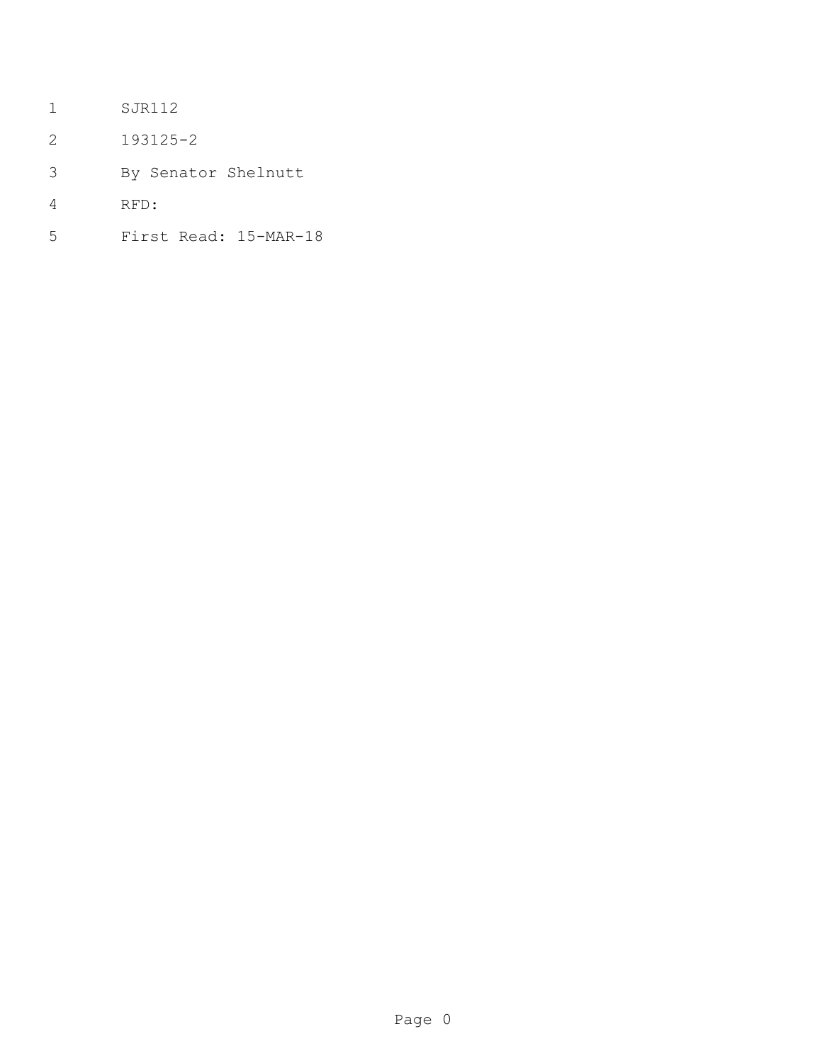- SJR112
- 193125-2
- By Senator Shelnutt
- RFD:
- First Read: 15-MAR-18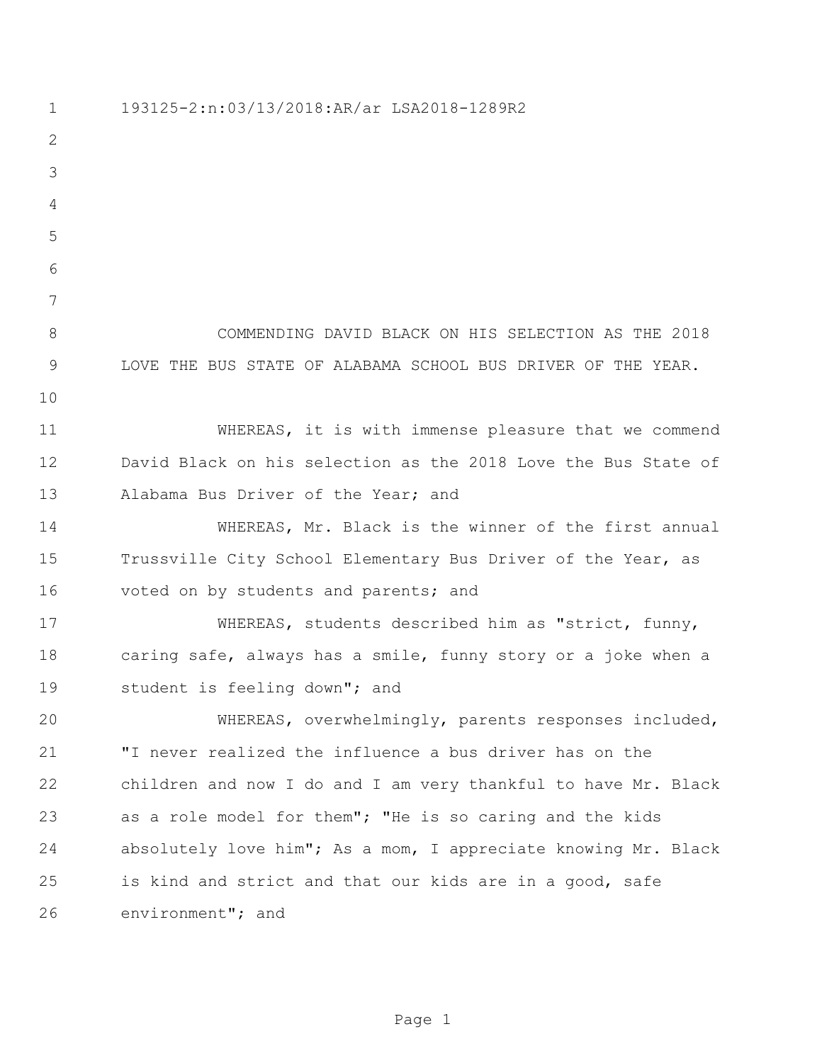193125-2:n:03/13/2018:AR/ar LSA2018-1289R2 COMMENDING DAVID BLACK ON HIS SELECTION AS THE 2018 LOVE THE BUS STATE OF ALABAMA SCHOOL BUS DRIVER OF THE YEAR. WHEREAS, it is with immense pleasure that we commend David Black on his selection as the 2018 Love the Bus State of Alabama Bus Driver of the Year; and WHEREAS, Mr. Black is the winner of the first annual Trussville City School Elementary Bus Driver of the Year, as voted on by students and parents; and WHEREAS, students described him as "strict, funny, caring safe, always has a smile, funny story or a joke when a student is feeling down"; and WHEREAS, overwhelmingly, parents responses included, "I never realized the influence a bus driver has on the children and now I do and I am very thankful to have Mr. Black as a role model for them"; "He is so caring and the kids absolutely love him"; As a mom, I appreciate knowing Mr. Black is kind and strict and that our kids are in a good, safe environment"; and